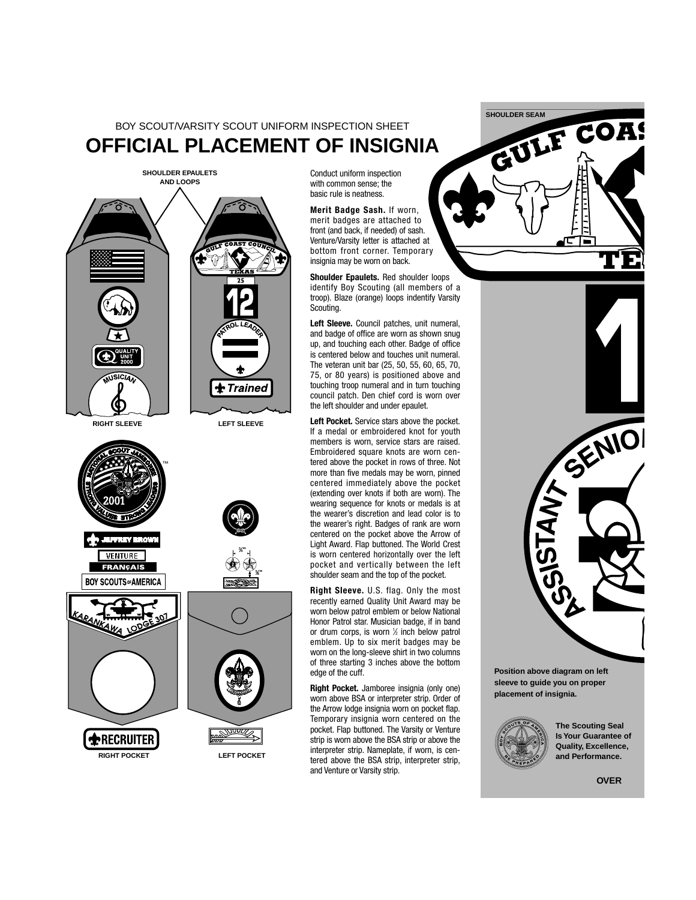BOY SCOUT/VARSITY SCOUT UNIFORM INSPECTION SHEET **OFFICIAL PLACEMENT OF INSIGNIA**



**RECRUITER** 

**RIGHT POCKET LEFT POCKET**

Conduct uniform inspection with common sense; the basic rule is neatness.

**Merit Badge Sash.** If worn, merit badges are attached to front (and back, if needed) of sash. Venture/Varsity letter is attached at bottom front corner. Temporary insignia may be worn on back.

**Shoulder Epaulets.** Red shoulder loops identify Boy Scouting (all members of a troop). Blaze (orange) loops indentify Varsity Scouting.

**Left Sleeve.** Council patches, unit numeral, and badge of office are worn as shown snug up, and touching each other. Badge of office is centered below and touches unit numeral. The veteran unit bar (25, 50, 55, 60, 65, 70, 75, or 80 years) is positioned above and touching troop numeral and in turn touching council patch. Den chief cord is worn over the left shoulder and under epaulet.

**Left Pocket.** Service stars above the pocket. If a medal or embroidered knot for youth members is worn, service stars are raised. Embroidered square knots are worn centered above the pocket in rows of three. Not more than five medals may be worn, pinned centered immediately above the pocket (extending over knots if both are worn). The wearing sequence for knots or medals is at the wearer's discretion and lead color is to the wearer's right. Badges of rank are worn centered on the pocket above the Arrow of Light Award. Flap buttoned. The World Crest is worn centered horizontally over the left pocket and vertically between the left shoulder seam and the top of the pocket.

**Right Sleeve.** U.S. flag. Only the most recently earned Quality Unit Award may be worn below patrol emblem or below National Honor Patrol star. Musician badge, if in band or drum corps, is worn 1 ⁄2 inch below patrol emblem. Up to six merit badges may be worn on the long-sleeve shirt in two columns of three starting 3 inches above the bottom edge of the cuff.

**Right Pocket.** Jamboree insignia (only one) worn above BSA or interpreter strip. Order of the Arrow lodge insignia worn on pocket flap. Temporary insignia worn centered on the pocket. Flap buttoned. The Varsity or Venture strip is worn above the BSA strip or above the interpreter strip. Nameplate, if worn, is centered above the BSA strip, interpreter strip, and Venture or Varsity strip.





**Position above diagram on left sleeve to guide you on proper placement of insignia.**



**The Scouting Seal Is Your Guarantee of Quality, Excellence, and Performance.**

**OVER**